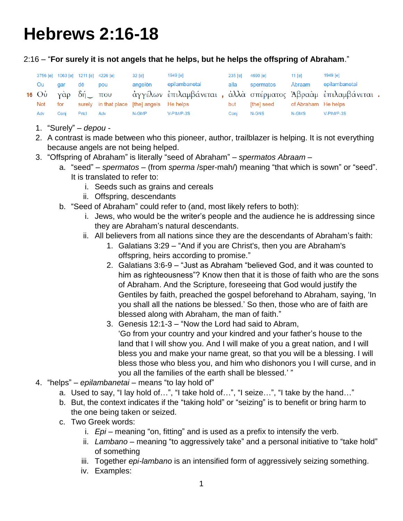## **Hebrews 2:16-18**

## 2:16 – "**For surely it is not angels that he helps, but he helps the offspring of Abraham**."

|     | 3756 [e] 1063 [e] 1211 [e] 4226 [e] |       |     | 32 [e]                                     | 1949 [e]                                                    | 235 [e] | 4690 [e]   | 11 $[el]$           | 1949 [e]      |
|-----|-------------------------------------|-------|-----|--------------------------------------------|-------------------------------------------------------------|---------|------------|---------------------|---------------|
| Ou  | aar                                 | dē    | pou | angelon                                    | epilambanetai                                               | alla    | spermatos  | Abraam              | epilambanetai |
|     | 16 $O$ <i>ὐ</i> γὰρ δή που          |       |     |                                            | άγγέλων επιλαμβάνεται, άλλα σπέρματος Άβρααμ επιλαμβάνεται. |         |            |                     |               |
| Not | for                                 |       |     | surely in that place [the] angels He helps |                                                             | but     | [the] seed | of Abraham He helps |               |
| Adv | Coni                                | Prtcl | Adv | N-GMP                                      | V-PIM/P-3S                                                  | Conj    | N-GNS      | N-GMS               | V-PIM/P-3S    |

- 1. "Surely" *depou* -
- 2. A contrast is made between who this pioneer, author, trailblazer is helping. It is not everything because angels are not being helped.
- 3. "Offspring of Abraham" is literally "seed of Abraham" *spermatos Abraam*
	- a. "seed" *spermatos* (from *sperma* /sper-mah/) meaning "that which is sown" or "seed". It is translated to refer to:
		- i. Seeds such as grains and cereals
		- ii. Offspring, descendants
	- b. "Seed of Abraham" could refer to (and, most likely refers to both):
		- i. Jews, who would be the writer's people and the audience he is addressing since they are Abraham's natural descendants.
		- ii. All believers from all nations since they are the descendants of Abraham's faith:
			- 1. Galatians 3:29 "And if you are Christ's, then you are Abraham's offspring, heirs according to promise."
			- 2. Galatians 3:6-9 "Just as Abraham "believed God, and it was counted to him as righteousness"? Know then that it is those of faith who are the sons of Abraham. And the Scripture, foreseeing that God would justify the Gentiles by faith, preached the gospel beforehand to Abraham, saying, 'In you shall all the nations be blessed.' So then, those who are of faith are blessed along with Abraham, the man of faith."
			- 3. Genesis 12:1-3 "Now the Lord had said to Abram, 'Go from your country and your kindred and your father's house to the land that I will show you. And I will make of you a great nation, and I will bless you and make your name great, so that you will be a blessing. I will bless those who bless you, and him who dishonors you I will curse, and in you all the families of the earth shall be blessed.' "
- 4. "helps" *epilambanetai* means "to lay hold of"
	- a. Used to say, "I lay hold of…", "I take hold of…", "I seize…", "I take by the hand…"
	- b. But, the context indicates if the "taking hold" or "seizing" is to benefit or bring harm to the one being taken or seized.
	- c. Two Greek words:
		- i. *Epi* meaning "on, fitting" and is used as a prefix to intensify the verb.
		- ii. *Lambano* meaning "to aggressively take" and a personal initiative to "take hold" of something
		- iii. Together *epi-lambano* is an intensified form of aggressively seizing something.
		- iv. Examples: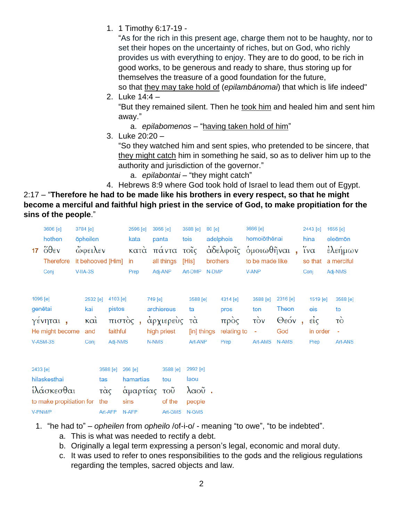1. 1 Timothy 6:17-19 -

"As for the rich in this present age, charge them not to be haughty, nor to set their hopes on the uncertainty of riches, but on God, who richly provides us with everything to enjoy. They are to do good, to be rich in good works, to be generous and ready to share, thus storing up for themselves the treasure of a good foundation for the future,

so that they may take hold of (*epilambánomai*) that which is life indeed" 2. Luke 14:4 –

"But they remained silent. Then he took him and healed him and sent him away."

a. *epilabomenos* – "having taken hold of him"

3. Luke 20:20 –

"So they watched him and sent spies, who pretended to be sincere, that they might catch him in something he said, so as to deliver him up to the authority and jurisdiction of the governor."

a. *epilabontai* – "they might catch"

4. Hebrews 8:9 where God took hold of Israel to lead them out of Egypt.

2:17 – "**Therefore he had to be made like his brothers in every respect, so that he might become a merciful and faithful high priest in the service of God, to make propitiation for the sins of the people**."

| 17       | 3606 [e]<br>hothen<br>$\ddot{\delta} \theta$ εν<br><b>Therefore</b> | 3784 [e]<br><b>o</b> pheilen<br><b>ώφειλεν</b><br>it behooved [Him] in |                                                        | 2596 [e]<br>kata<br>κατά | 3956 [e]<br>panta<br>πάντα<br>all things                   | tois | 3588 [e]<br>τοΐς<br>[His]                      | $80$ [e]<br>brothers | adelphois<br>άδελφοΐς όμοιωθῆναι,               |              | 3666 [e]<br>homoiōthēnai<br>to be made like    |                                           | 2443 [e]<br>hina<br>$\tilde{i} \nu \alpha$                | 1655 [e]<br>eleēmōn<br>έλεήμων<br>so that a merciful |
|----------|---------------------------------------------------------------------|------------------------------------------------------------------------|--------------------------------------------------------|--------------------------|------------------------------------------------------------|------|------------------------------------------------|----------------------|-------------------------------------------------|--------------|------------------------------------------------|-------------------------------------------|-----------------------------------------------------------|------------------------------------------------------|
|          | Conj                                                                | $V-IIA-3S$                                                             |                                                        | Prep                     | Adj-ANP                                                    |      | Art-DMP N-DMP                                  |                      |                                                 | <b>V-ANP</b> |                                                |                                           | Conj                                                      | Adj-NMS                                              |
| 1096 [e] | genētai<br>γένηται,<br>He might become<br>V-ASM-3S                  | 2532 [e]<br>kai<br>καὶ<br>and<br>Conj                                  | $4103$ [e]<br>pistos<br>πιστός,<br>faithful<br>Adj-NMS |                          | 749 [e]<br>archiereus<br>άρχιερεὺς<br>high priest<br>N-NMS |      | 3588 [e]<br>ta<br>τά<br>[in] things<br>Art-ANP |                      | 4314 [e]<br>pros<br>πρὸς<br>relating to<br>Prep |              | 3588 [e]<br>ton<br>$\vec{10v}$<br>÷<br>Art-AMS | 2316 [e]<br>Theon<br>Θεόν<br>God<br>N-AMS | 1519 [e]<br>eis<br>$\epsilon \dot{i}$<br>in order<br>Prep | 3588 [e]<br>to<br>τò<br>$\blacksquare$<br>Art-ANS    |
| 2433 [e] |                                                                     |                                                                        | 3588 [e]                                               | 266 [e]                  | 3588 [e]                                                   |      | 2992 [e]                                       |                      |                                                 |              |                                                |                                           |                                                           |                                                      |

| <b>2433 IBI</b>              |               | 3088 ICI ZOO ICI 200   | $3088$ IGI $2992$ IGI |      |  |
|------------------------------|---------------|------------------------|-----------------------|------|--|
| hilaskesthai                 | tas           | hamartias              | tou                   | laou |  |
| ἱλάσκεσθαι                   |               | τὰς ἁμαρτίας τοῦ λαοῦ. |                       |      |  |
| to make propitiation for the |               | sins                   | of the people         |      |  |
| V-PNM/P                      | Art-AFP N-AFP |                        | Art-GMS N-GMS         |      |  |

- 1. "he had to" *opheilen* from *opheilo* /of-i-o/ meaning "to owe", "to be indebted".
	- a. This is what was needed to rectify a debt.
	- b. Originally a legal term expressing a person's legal, economic and moral duty.
	- c. It was used to refer to ones responsibilities to the gods and the religious regulations regarding the temples, sacred objects and law.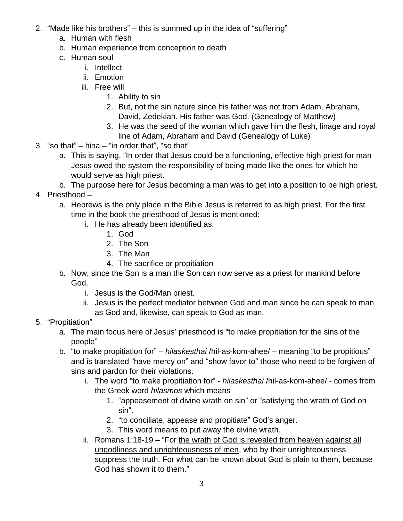- 2. "Made like his brothers" this is summed up in the idea of "suffering"
	- a. Human with flesh
	- b. Human experience from conception to death
	- c. Human soul
		- i. Intellect
		- ii. Emotion
		- iii. Free will
			- 1. Ability to sin
			- 2. But, not the sin nature since his father was not from Adam, Abraham, David, Zedekiah. His father was God. (Genealogy of Matthew)
			- 3. He was the seed of the woman which gave him the flesh, linage and royal line of Adam, Abraham and David (Genealogy of Luke)
- 3. "so that" hina "in order that", "so that"
	- a. This is saying, "In order that Jesus could be a functioning, effective high priest for man Jesus owed the system the responsibility of being made like the ones for which he would serve as high priest.
	- b. The purpose here for Jesus becoming a man was to get into a position to be high priest.
- 4. Priesthood
	- a. Hebrews is the only place in the Bible Jesus is referred to as high priest. For the first time in the book the priesthood of Jesus is mentioned:
		- i. He has already been identified as:
			- 1. God
			- 2. The Son
			- 3. The Man
			- 4. The sacrifice or propitiation
	- b. Now, since the Son is a man the Son can now serve as a priest for mankind before God.
		- i. Jesus is the God/Man priest.
		- ii. Jesus is the perfect mediator between God and man since he can speak to man as God and, likewise, can speak to God as man.
- 5. "Propitiation"
	- a. The main focus here of Jesus' priesthood is "to make propitiation for the sins of the people"
	- b. "to make propitiation for" *hilaskesthai* /hil-as-kom-ahee/ meaning "to be propitious" and is translated "have mercy on" and "show favor to" those who need to be forgiven of sins and pardon for their violations.
		- i. The word "to make propitiation for" *hilaskesthai* /hil-as-kom-ahee/ comes from the Greek word *hilasmos* which means
			- 1. "appeasement of divine wrath on sin" or "satisfying the wrath of God on sin".
			- 2. "to conciliate, appease and propitiate" God's anger.
			- 3. This word means to put away the divine wrath.
		- ii. Romans 1:18-19 "For the wrath of God is revealed from heaven against all ungodliness and unrighteousness of men, who by their unrighteousness suppress the truth. For what can be known about God is plain to them, because God has shown it to them."